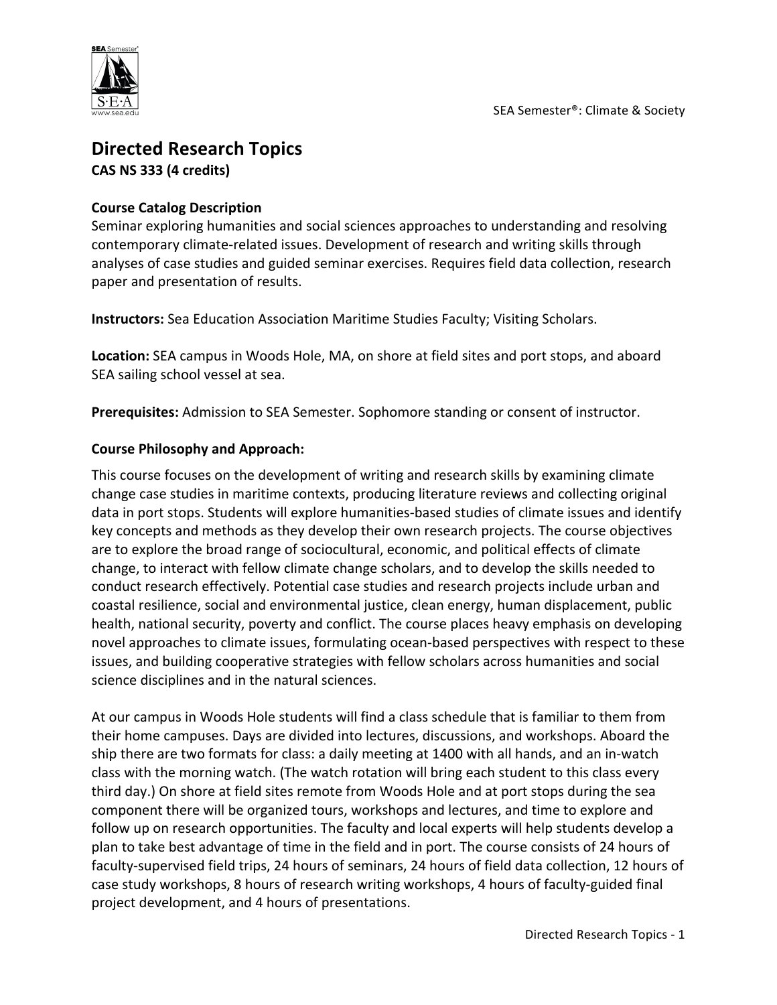

# **Directed Research Topics CAS NS 333 (4 credits)**

### **Course Catalog Description**

Seminar exploring humanities and social sciences approaches to understanding and resolving contemporary climate-related issues. Development of research and writing skills through analyses of case studies and guided seminar exercises. Requires field data collection, research paper and presentation of results.

**Instructors:** Sea Education Association Maritime Studies Faculty; Visiting Scholars.

Location: SEA campus in Woods Hole, MA, on shore at field sites and port stops, and aboard SEA sailing school vessel at sea.

**Prerequisites:** Admission to SEA Semester. Sophomore standing or consent of instructor.

#### **Course Philosophy and Approach:**

This course focuses on the development of writing and research skills by examining climate change case studies in maritime contexts, producing literature reviews and collecting original data in port stops. Students will explore humanities-based studies of climate issues and identify key concepts and methods as they develop their own research projects. The course objectives are to explore the broad range of sociocultural, economic, and political effects of climate change, to interact with fellow climate change scholars, and to develop the skills needed to conduct research effectively. Potential case studies and research projects include urban and coastal resilience, social and environmental justice, clean energy, human displacement, public health, national security, poverty and conflict. The course places heavy emphasis on developing novel approaches to climate issues, formulating ocean-based perspectives with respect to these issues, and building cooperative strategies with fellow scholars across humanities and social science disciplines and in the natural sciences.

At our campus in Woods Hole students will find a class schedule that is familiar to them from their home campuses. Days are divided into lectures, discussions, and workshops. Aboard the ship there are two formats for class: a daily meeting at 1400 with all hands, and an in-watch class with the morning watch. (The watch rotation will bring each student to this class every third day.) On shore at field sites remote from Woods Hole and at port stops during the sea component there will be organized tours, workshops and lectures, and time to explore and follow up on research opportunities. The faculty and local experts will help students develop a plan to take best advantage of time in the field and in port. The course consists of 24 hours of faculty-supervised field trips, 24 hours of seminars, 24 hours of field data collection, 12 hours of case study workshops, 8 hours of research writing workshops, 4 hours of faculty-guided final project development, and 4 hours of presentations.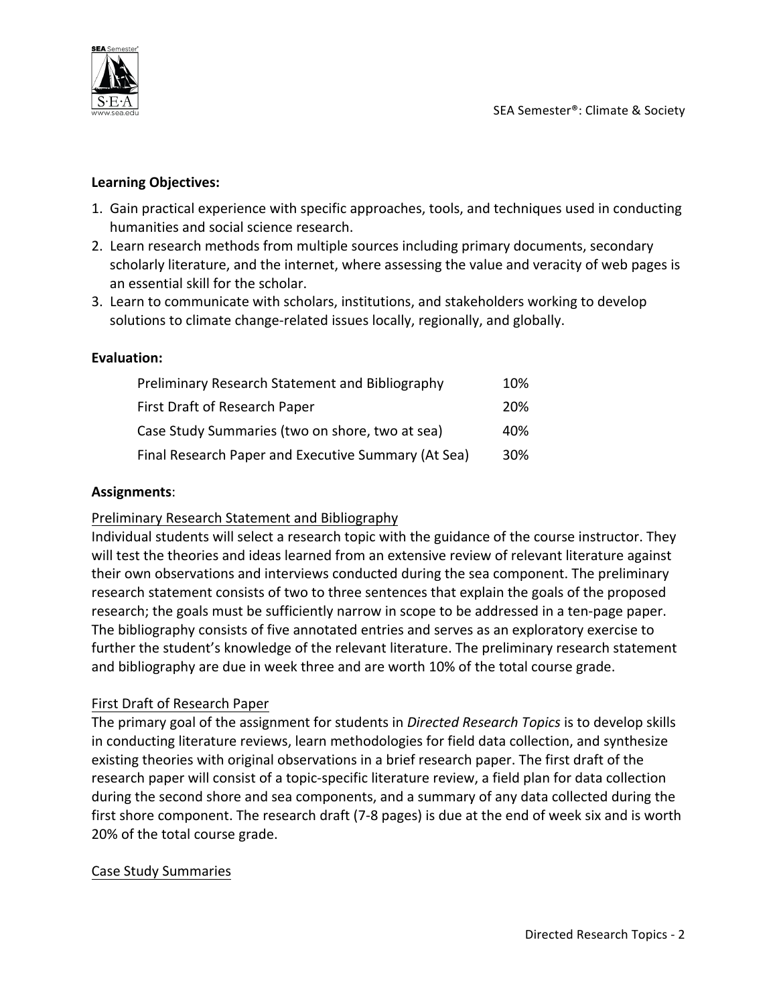

## **Learning Objectives:**

- 1. Gain practical experience with specific approaches, tools, and techniques used in conducting humanities and social science research.
- 2. Learn research methods from multiple sources including primary documents, secondary scholarly literature, and the internet, where assessing the value and veracity of web pages is an essential skill for the scholar.
- 3. Learn to communicate with scholars, institutions, and stakeholders working to develop solutions to climate change-related issues locally, regionally, and globally.

### **Evaluation:**

| Preliminary Research Statement and Bibliography     | 10% |
|-----------------------------------------------------|-----|
| First Draft of Research Paper                       | 20% |
| Case Study Summaries (two on shore, two at sea)     | 40% |
| Final Research Paper and Executive Summary (At Sea) | 30% |

#### **Assignments**:

# Preliminary Research Statement and Bibliography

Individual students will select a research topic with the guidance of the course instructor. They will test the theories and ideas learned from an extensive review of relevant literature against their own observations and interviews conducted during the sea component. The preliminary research statement consists of two to three sentences that explain the goals of the proposed research; the goals must be sufficiently narrow in scope to be addressed in a ten-page paper. The bibliography consists of five annotated entries and serves as an exploratory exercise to further the student's knowledge of the relevant literature. The preliminary research statement and bibliography are due in week three and are worth 10% of the total course grade.

#### First Draft of Research Paper

The primary goal of the assignment for students in *Directed Research Topics* is to develop skills in conducting literature reviews, learn methodologies for field data collection, and synthesize existing theories with original observations in a brief research paper. The first draft of the research paper will consist of a topic-specific literature review, a field plan for data collection during the second shore and sea components, and a summary of any data collected during the first shore component. The research draft (7-8 pages) is due at the end of week six and is worth 20% of the total course grade.

#### Case Study Summaries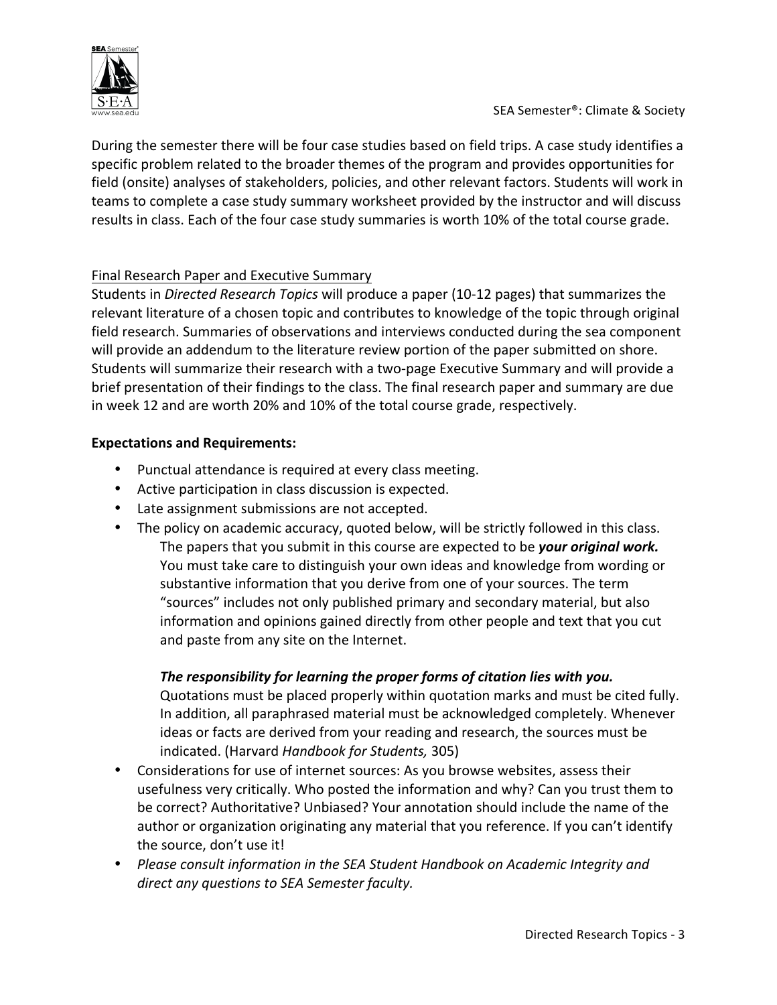

During the semester there will be four case studies based on field trips. A case study identifies a specific problem related to the broader themes of the program and provides opportunities for field (onsite) analyses of stakeholders, policies, and other relevant factors. Students will work in teams to complete a case study summary worksheet provided by the instructor and will discuss results in class. Each of the four case study summaries is worth 10% of the total course grade.

# Final Research Paper and Executive Summary

Students in *Directed Research Topics* will produce a paper (10-12 pages) that summarizes the relevant literature of a chosen topic and contributes to knowledge of the topic through original field research. Summaries of observations and interviews conducted during the sea component will provide an addendum to the literature review portion of the paper submitted on shore. Students will summarize their research with a two-page Executive Summary and will provide a brief presentation of their findings to the class. The final research paper and summary are due in week 12 and are worth 20% and 10% of the total course grade, respectively.

# **Expectations and Requirements:**

- Punctual attendance is required at every class meeting.
- Active participation in class discussion is expected.
- Late assignment submissions are not accepted.
- The policy on academic accuracy, quoted below, will be strictly followed in this class. The papers that you submit in this course are expected to be *your original work.* You must take care to distinguish your own ideas and knowledge from wording or substantive information that you derive from one of your sources. The term "sources" includes not only published primary and secondary material, but also information and opinions gained directly from other people and text that you cut and paste from any site on the Internet.

# The responsibility for learning the proper forms of citation lies with you.

Quotations must be placed properly within quotation marks and must be cited fully. In addition, all paraphrased material must be acknowledged completely. Whenever ideas or facts are derived from your reading and research, the sources must be indicated. (Harvard *Handbook for Students*, 305)

- Considerations for use of internet sources: As you browse websites, assess their usefulness very critically. Who posted the information and why? Can you trust them to be correct? Authoritative? Unbiased? Your annotation should include the name of the author or organization originating any material that you reference. If you can't identify the source, don't use it!
- Please consult information in the SEA Student Handbook on Academic Integrity and direct any questions to SEA Semester faculty.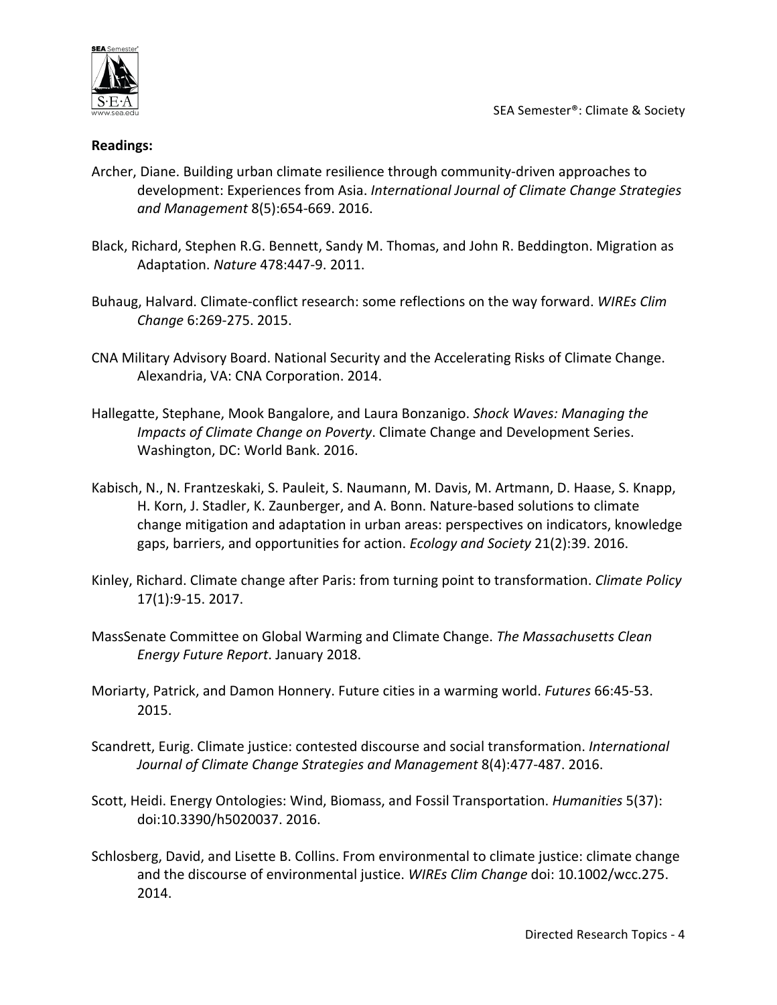



#### **Readings:**

- Archer, Diane. Building urban climate resilience through community-driven approaches to development: Experiences from Asia. *International Journal of Climate Change Strategies and Management* 8(5):654-669. 2016.
- Black, Richard, Stephen R.G. Bennett, Sandy M. Thomas, and John R. Beddington. Migration as Adaptation. *Nature* 478:447-9. 2011.
- Buhaug, Halvard. Climate-conflict research: some reflections on the way forward. WIREs Clim *Change* 6:269-275. 2015.
- CNA Military Advisory Board. National Security and the Accelerating Risks of Climate Change. Alexandria, VA: CNA Corporation. 2014.
- Hallegatte, Stephane, Mook Bangalore, and Laura Bonzanigo. Shock Waves: Managing the *Impacts of Climate Change on Poverty*. Climate Change and Development Series. Washington, DC: World Bank. 2016.
- Kabisch, N., N. Frantzeskaki, S. Pauleit, S. Naumann, M. Davis, M. Artmann, D. Haase, S. Knapp, H. Korn, J. Stadler, K. Zaunberger, and A. Bonn. Nature-based solutions to climate change mitigation and adaptation in urban areas: perspectives on indicators, knowledge gaps, barriers, and opportunities for action. *Ecology and Society* 21(2):39. 2016.
- Kinley, Richard. Climate change after Paris: from turning point to transformation. *Climate Policy* 17(1):9-15. 2017.
- MassSenate Committee on Global Warming and Climate Change. *The Massachusetts Clean Energy Future Report*. January 2018.
- Moriarty, Patrick, and Damon Honnery. Future cities in a warming world. *Futures* 66:45-53. 2015.
- Scandrett, Eurig. Climate justice: contested discourse and social transformation. *International Journal of Climate Change Strategies and Management* 8(4):477-487. 2016.
- Scott, Heidi. Energy Ontologies: Wind, Biomass, and Fossil Transportation. *Humanities* 5(37): doi:10.3390/h5020037. 2016.
- Schlosberg, David, and Lisette B. Collins. From environmental to climate justice: climate change and the discourse of environmental justice. WIREs Clim Change doi: 10.1002/wcc.275. 2014.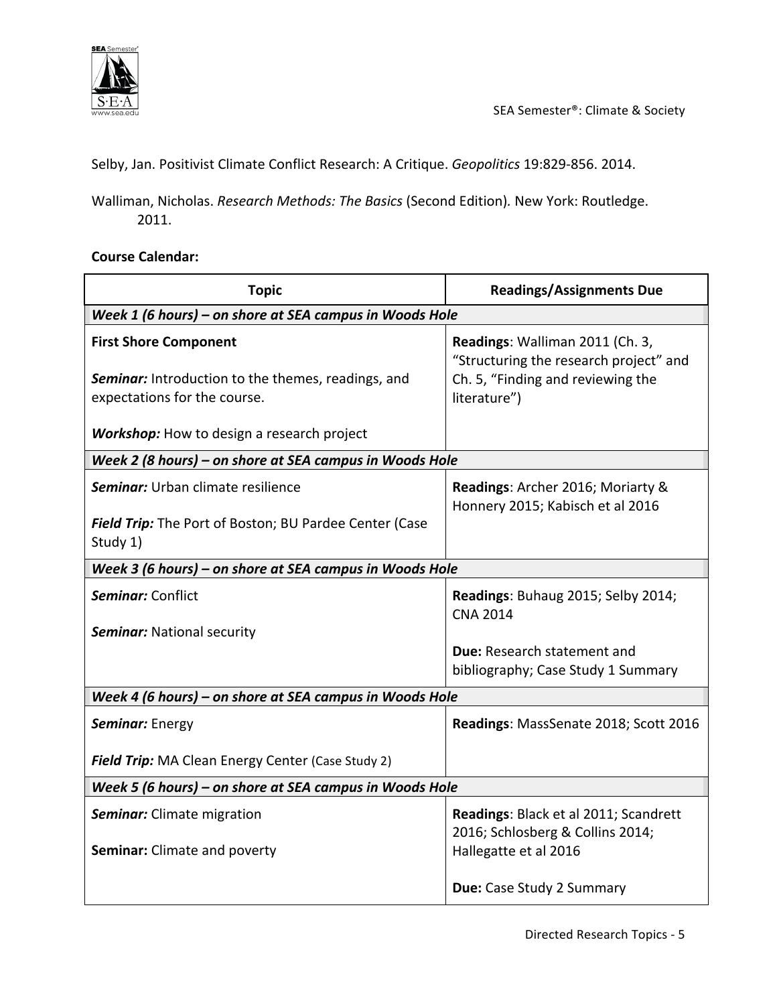

Selby, Jan. Positivist Climate Conflict Research: A Critique. *Geopolitics* 19:829-856. 2014.

Walliman, Nicholas. *Research Methods: The Basics* (Second Edition). New York: Routledge. 2011.

# **Course Calendar:**

| <b>Topic</b>                                                                                                              | <b>Readings/Assignments Due</b>                                                                                                |  |  |
|---------------------------------------------------------------------------------------------------------------------------|--------------------------------------------------------------------------------------------------------------------------------|--|--|
| Week 1 (6 hours) - on shore at SEA campus in Woods Hole                                                                   |                                                                                                                                |  |  |
| <b>First Shore Component</b><br><b>Seminar:</b> Introduction to the themes, readings, and<br>expectations for the course. | Readings: Walliman 2011 (Ch. 3,<br>"Structuring the research project" and<br>Ch. 5, "Finding and reviewing the<br>literature") |  |  |
| <b>Workshop:</b> How to design a research project                                                                         |                                                                                                                                |  |  |
| Week 2 (8 hours) – on shore at SEA campus in Woods Hole                                                                   |                                                                                                                                |  |  |
| <b>Seminar:</b> Urban climate resilience                                                                                  | Readings: Archer 2016; Moriarty &<br>Honnery 2015; Kabisch et al 2016                                                          |  |  |
| Field Trip: The Port of Boston; BU Pardee Center (Case<br>Study 1)                                                        |                                                                                                                                |  |  |
| Week 3 (6 hours) - on shore at SEA campus in Woods Hole                                                                   |                                                                                                                                |  |  |
| Seminar: Conflict                                                                                                         | Readings: Buhaug 2015; Selby 2014;<br><b>CNA 2014</b>                                                                          |  |  |
| <b>Seminar: National security</b>                                                                                         |                                                                                                                                |  |  |
|                                                                                                                           | Due: Research statement and                                                                                                    |  |  |
|                                                                                                                           | bibliography; Case Study 1 Summary                                                                                             |  |  |
| Week 4 (6 hours) – on shore at SEA campus in Woods Hole                                                                   |                                                                                                                                |  |  |
| Seminar: Energy                                                                                                           | Readings: MassSenate 2018; Scott 2016                                                                                          |  |  |
| Field Trip: MA Clean Energy Center (Case Study 2)                                                                         |                                                                                                                                |  |  |
| Week 5 (6 hours) – on shore at SEA campus in Woods Hole                                                                   |                                                                                                                                |  |  |
| <b>Seminar:</b> Climate migration<br>Seminar: Climate and poverty                                                         | Readings: Black et al 2011; Scandrett<br>2016; Schlosberg & Collins 2014;<br>Hallegatte et al 2016                             |  |  |
|                                                                                                                           | Due: Case Study 2 Summary                                                                                                      |  |  |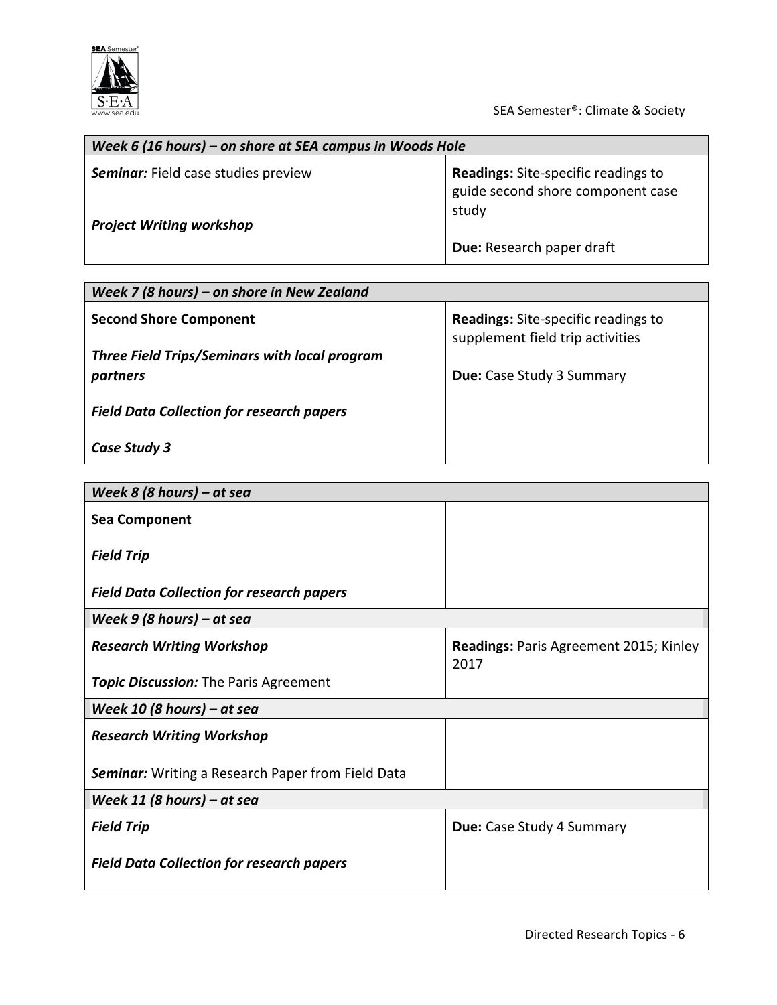

SEA Semester®: Climate & Society

| Week 6 (16 hours) – on shore at SEA campus in Woods Hole                      |                                                                                          |  |
|-------------------------------------------------------------------------------|------------------------------------------------------------------------------------------|--|
| <b>Seminar:</b> Field case studies preview<br><b>Project Writing workshop</b> | <b>Readings:</b> Site-specific readings to<br>guide second shore component case<br>study |  |
|                                                                               | Due: Research paper draft                                                                |  |

| Week 7 (8 hours) – on shore in New Zealand                |                                                                                |  |
|-----------------------------------------------------------|--------------------------------------------------------------------------------|--|
| <b>Second Shore Component</b>                             | <b>Readings:</b> Site-specific readings to<br>supplement field trip activities |  |
| Three Field Trips/Seminars with local program<br>partners | <b>Due:</b> Case Study 3 Summary                                               |  |
| <b>Field Data Collection for research papers</b>          |                                                                                |  |
| Case Study 3                                              |                                                                                |  |

| Week 8 (8 hours) – at sea                                |                                                       |  |  |
|----------------------------------------------------------|-------------------------------------------------------|--|--|
| <b>Sea Component</b>                                     |                                                       |  |  |
| <b>Field Trip</b>                                        |                                                       |  |  |
| <b>Field Data Collection for research papers</b>         |                                                       |  |  |
| Week $9$ (8 hours) – at sea                              |                                                       |  |  |
| <b>Research Writing Workshop</b>                         | <b>Readings: Paris Agreement 2015; Kinley</b><br>2017 |  |  |
| <b>Topic Discussion:</b> The Paris Agreement             |                                                       |  |  |
| Week 10 (8 hours) – at sea                               |                                                       |  |  |
| <b>Research Writing Workshop</b>                         |                                                       |  |  |
| <b>Seminar:</b> Writing a Research Paper from Field Data |                                                       |  |  |
| Week 11 (8 hours) – at sea                               |                                                       |  |  |
| <b>Field Trip</b>                                        | <b>Due:</b> Case Study 4 Summary                      |  |  |
| <b>Field Data Collection for research papers</b>         |                                                       |  |  |